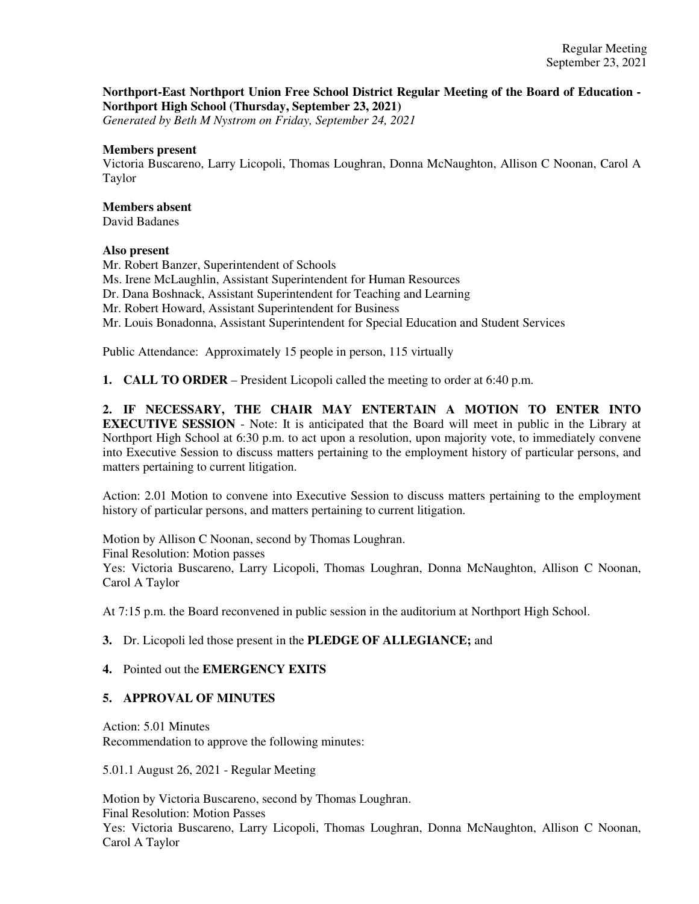## **Northport-East Northport Union Free School District Regular Meeting of the Board of Education - Northport High School (Thursday, September 23, 2021)**

*Generated by Beth M Nystrom on Friday, September 24, 2021*

#### **Members present**

Victoria Buscareno, Larry Licopoli, Thomas Loughran, Donna McNaughton, Allison C Noonan, Carol A Taylor

## **Members absent**

David Badanes

#### **Also present**

Mr. Robert Banzer, Superintendent of Schools Ms. Irene McLaughlin, Assistant Superintendent for Human Resources Dr. Dana Boshnack, Assistant Superintendent for Teaching and Learning Mr. Robert Howard, Assistant Superintendent for Business Mr. Louis Bonadonna, Assistant Superintendent for Special Education and Student Services

Public Attendance: Approximately 15 people in person, 115 virtually

**1. CALL TO ORDER** – President Licopoli called the meeting to order at 6:40 p.m.

**2. IF NECESSARY, THE CHAIR MAY ENTERTAIN A MOTION TO ENTER INTO EXECUTIVE SESSION** - Note: It is anticipated that the Board will meet in public in the Library at Northport High School at 6:30 p.m. to act upon a resolution, upon majority vote, to immediately convene into Executive Session to discuss matters pertaining to the employment history of particular persons, and matters pertaining to current litigation.

Action: 2.01 Motion to convene into Executive Session to discuss matters pertaining to the employment history of particular persons, and matters pertaining to current litigation.

Motion by Allison C Noonan, second by Thomas Loughran. Final Resolution: Motion passes Yes: Victoria Buscareno, Larry Licopoli, Thomas Loughran, Donna McNaughton, Allison C Noonan, Carol A Taylor

At 7:15 p.m. the Board reconvened in public session in the auditorium at Northport High School.

## **3.** Dr. Licopoli led those present in the **PLEDGE OF ALLEGIANCE;** and

## **4.** Pointed out the **EMERGENCY EXITS**

## **5. APPROVAL OF MINUTES**

Action: 5.01 Minutes Recommendation to approve the following minutes:

5.01.1 August 26, 2021 - Regular Meeting

Motion by Victoria Buscareno, second by Thomas Loughran. Final Resolution: Motion Passes Yes: Victoria Buscareno, Larry Licopoli, Thomas Loughran, Donna McNaughton, Allison C Noonan, Carol A Taylor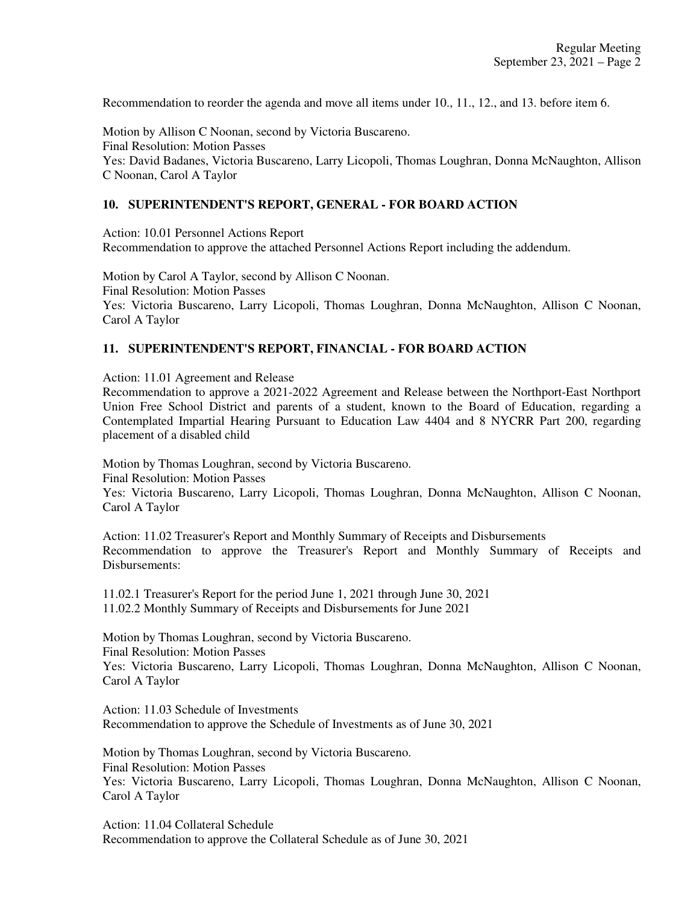Recommendation to reorder the agenda and move all items under 10., 11., 12., and 13. before item 6.

Motion by Allison C Noonan, second by Victoria Buscareno. Final Resolution: Motion Passes Yes: David Badanes, Victoria Buscareno, Larry Licopoli, Thomas Loughran, Donna McNaughton, Allison C Noonan, Carol A Taylor

## **10. SUPERINTENDENT'S REPORT, GENERAL - FOR BOARD ACTION**

Action: 10.01 Personnel Actions Report

Recommendation to approve the attached Personnel Actions Report including the addendum.

Motion by Carol A Taylor, second by Allison C Noonan. Final Resolution: Motion Passes Yes: Victoria Buscareno, Larry Licopoli, Thomas Loughran, Donna McNaughton, Allison C Noonan, Carol A Taylor

## **11. SUPERINTENDENT'S REPORT, FINANCIAL - FOR BOARD ACTION**

Action: 11.01 Agreement and Release

Recommendation to approve a 2021-2022 Agreement and Release between the Northport-East Northport Union Free School District and parents of a student, known to the Board of Education, regarding a Contemplated Impartial Hearing Pursuant to Education Law 4404 and 8 NYCRR Part 200, regarding placement of a disabled child

Motion by Thomas Loughran, second by Victoria Buscareno.

Final Resolution: Motion Passes

Yes: Victoria Buscareno, Larry Licopoli, Thomas Loughran, Donna McNaughton, Allison C Noonan, Carol A Taylor

Action: 11.02 Treasurer's Report and Monthly Summary of Receipts and Disbursements Recommendation to approve the Treasurer's Report and Monthly Summary of Receipts and Disbursements:

11.02.1 Treasurer's Report for the period June 1, 2021 through June 30, 2021 11.02.2 Monthly Summary of Receipts and Disbursements for June 2021

Motion by Thomas Loughran, second by Victoria Buscareno. Final Resolution: Motion Passes

Yes: Victoria Buscareno, Larry Licopoli, Thomas Loughran, Donna McNaughton, Allison C Noonan, Carol A Taylor

Action: 11.03 Schedule of Investments Recommendation to approve the Schedule of Investments as of June 30, 2021

Motion by Thomas Loughran, second by Victoria Buscareno. Final Resolution: Motion Passes Yes: Victoria Buscareno, Larry Licopoli, Thomas Loughran, Donna McNaughton, Allison C Noonan, Carol A Taylor

Action: 11.04 Collateral Schedule Recommendation to approve the Collateral Schedule as of June 30, 2021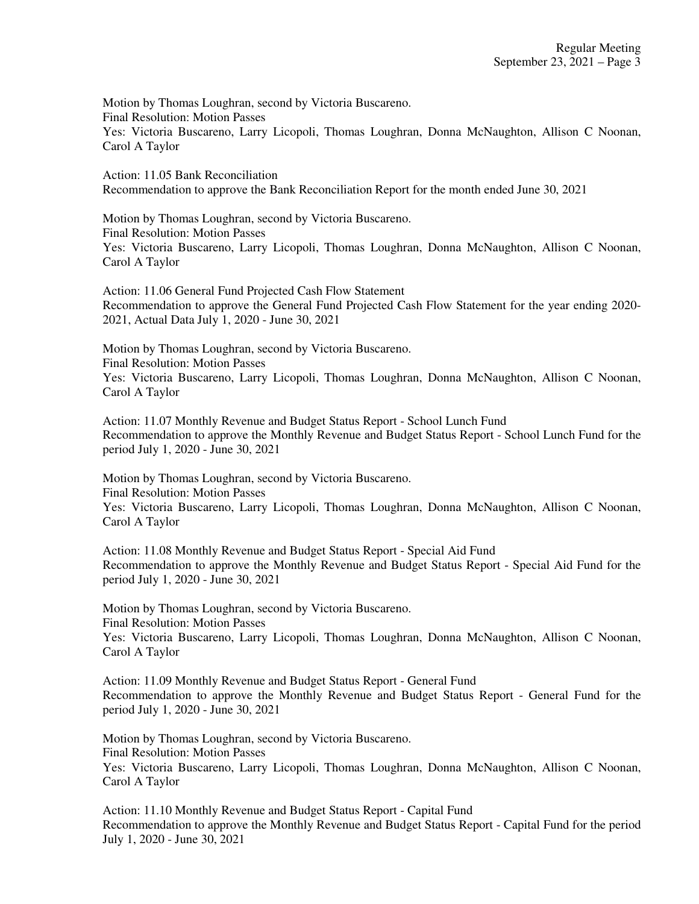Motion by Thomas Loughran, second by Victoria Buscareno. Final Resolution: Motion Passes Yes: Victoria Buscareno, Larry Licopoli, Thomas Loughran, Donna McNaughton, Allison C Noonan, Carol A Taylor

Action: 11.05 Bank Reconciliation Recommendation to approve the Bank Reconciliation Report for the month ended June 30, 2021

Motion by Thomas Loughran, second by Victoria Buscareno. Final Resolution: Motion Passes Yes: Victoria Buscareno, Larry Licopoli, Thomas Loughran, Donna McNaughton, Allison C Noonan, Carol A Taylor

Action: 11.06 General Fund Projected Cash Flow Statement Recommendation to approve the General Fund Projected Cash Flow Statement for the year ending 2020- 2021, Actual Data July 1, 2020 - June 30, 2021

Motion by Thomas Loughran, second by Victoria Buscareno. Final Resolution: Motion Passes Yes: Victoria Buscareno, Larry Licopoli, Thomas Loughran, Donna McNaughton, Allison C Noonan, Carol A Taylor

Action: 11.07 Monthly Revenue and Budget Status Report - School Lunch Fund Recommendation to approve the Monthly Revenue and Budget Status Report - School Lunch Fund for the period July 1, 2020 - June 30, 2021

Motion by Thomas Loughran, second by Victoria Buscareno. Final Resolution: Motion Passes Yes: Victoria Buscareno, Larry Licopoli, Thomas Loughran, Donna McNaughton, Allison C Noonan, Carol A Taylor

Action: 11.08 Monthly Revenue and Budget Status Report - Special Aid Fund Recommendation to approve the Monthly Revenue and Budget Status Report - Special Aid Fund for the period July 1, 2020 - June 30, 2021

Motion by Thomas Loughran, second by Victoria Buscareno. Final Resolution: Motion Passes Yes: Victoria Buscareno, Larry Licopoli, Thomas Loughran, Donna McNaughton, Allison C Noonan, Carol A Taylor

Action: 11.09 Monthly Revenue and Budget Status Report - General Fund Recommendation to approve the Monthly Revenue and Budget Status Report - General Fund for the period July 1, 2020 - June 30, 2021

Motion by Thomas Loughran, second by Victoria Buscareno. Final Resolution: Motion Passes Yes: Victoria Buscareno, Larry Licopoli, Thomas Loughran, Donna McNaughton, Allison C Noonan, Carol A Taylor

Action: 11.10 Monthly Revenue and Budget Status Report - Capital Fund Recommendation to approve the Monthly Revenue and Budget Status Report - Capital Fund for the period July 1, 2020 - June 30, 2021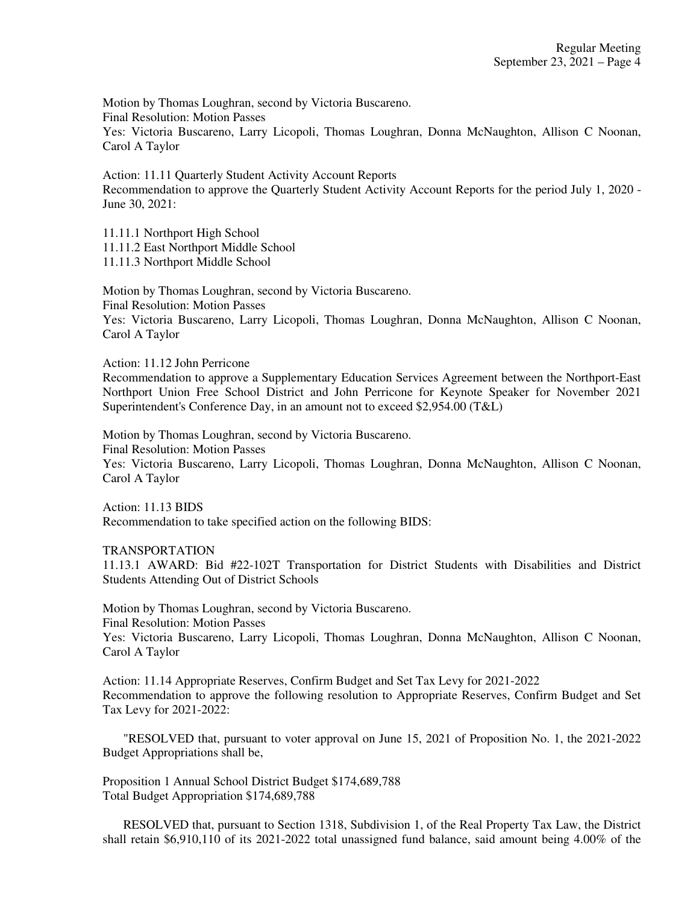Motion by Thomas Loughran, second by Victoria Buscareno. Final Resolution: Motion Passes Yes: Victoria Buscareno, Larry Licopoli, Thomas Loughran, Donna McNaughton, Allison C Noonan, Carol A Taylor

Action: 11.11 Quarterly Student Activity Account Reports Recommendation to approve the Quarterly Student Activity Account Reports for the period July 1, 2020 - June 30, 2021:

11.11.1 Northport High School 11.11.2 East Northport Middle School 11.11.3 Northport Middle School

Motion by Thomas Loughran, second by Victoria Buscareno. Final Resolution: Motion Passes Yes: Victoria Buscareno, Larry Licopoli, Thomas Loughran, Donna McNaughton, Allison C Noonan, Carol A Taylor

Action: 11.12 John Perricone

Recommendation to approve a Supplementary Education Services Agreement between the Northport-East Northport Union Free School District and John Perricone for Keynote Speaker for November 2021 Superintendent's Conference Day, in an amount not to exceed \$2,954.00 (T&L)

Motion by Thomas Loughran, second by Victoria Buscareno. Final Resolution: Motion Passes Yes: Victoria Buscareno, Larry Licopoli, Thomas Loughran, Donna McNaughton, Allison C Noonan, Carol A Taylor

Action: 11.13 BIDS Recommendation to take specified action on the following BIDS:

TRANSPORTATION

11.13.1 AWARD: Bid #22-102T Transportation for District Students with Disabilities and District Students Attending Out of District Schools

Motion by Thomas Loughran, second by Victoria Buscareno. Final Resolution: Motion Passes Yes: Victoria Buscareno, Larry Licopoli, Thomas Loughran, Donna McNaughton, Allison C Noonan, Carol A Taylor

Action: 11.14 Appropriate Reserves, Confirm Budget and Set Tax Levy for 2021-2022 Recommendation to approve the following resolution to Appropriate Reserves, Confirm Budget and Set Tax Levy for 2021-2022:

 "RESOLVED that, pursuant to voter approval on June 15, 2021 of Proposition No. 1, the 2021-2022 Budget Appropriations shall be,

Proposition 1 Annual School District Budget \$174,689,788 Total Budget Appropriation \$174,689,788

 RESOLVED that, pursuant to Section 1318, Subdivision 1, of the Real Property Tax Law, the District shall retain \$6,910,110 of its 2021-2022 total unassigned fund balance, said amount being 4.00% of the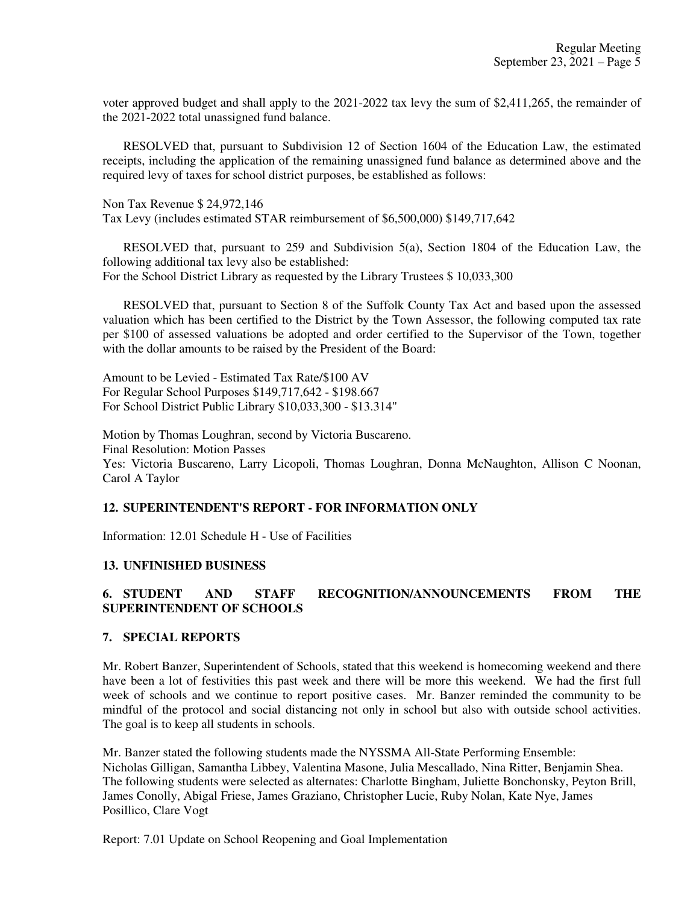voter approved budget and shall apply to the 2021-2022 tax levy the sum of \$2,411,265, the remainder of the 2021-2022 total unassigned fund balance.

 RESOLVED that, pursuant to Subdivision 12 of Section 1604 of the Education Law, the estimated receipts, including the application of the remaining unassigned fund balance as determined above and the required levy of taxes for school district purposes, be established as follows:

Non Tax Revenue \$ 24,972,146 Tax Levy (includes estimated STAR reimbursement of \$6,500,000) \$149,717,642

 RESOLVED that, pursuant to 259 and Subdivision 5(a), Section 1804 of the Education Law, the following additional tax levy also be established: For the School District Library as requested by the Library Trustees \$ 10,033,300

 RESOLVED that, pursuant to Section 8 of the Suffolk County Tax Act and based upon the assessed valuation which has been certified to the District by the Town Assessor, the following computed tax rate per \$100 of assessed valuations be adopted and order certified to the Supervisor of the Town, together with the dollar amounts to be raised by the President of the Board:

Amount to be Levied - Estimated Tax Rate/\$100 AV For Regular School Purposes \$149,717,642 - \$198.667 For School District Public Library \$10,033,300 - \$13.314"

Motion by Thomas Loughran, second by Victoria Buscareno. Final Resolution: Motion Passes Yes: Victoria Buscareno, Larry Licopoli, Thomas Loughran, Donna McNaughton, Allison C Noonan, Carol A Taylor

## **12. SUPERINTENDENT'S REPORT - FOR INFORMATION ONLY**

Information: 12.01 Schedule H - Use of Facilities

## **13. UNFINISHED BUSINESS**

## **6. STUDENT AND STAFF RECOGNITION/ANNOUNCEMENTS FROM THE SUPERINTENDENT OF SCHOOLS**

## **7. SPECIAL REPORTS**

Mr. Robert Banzer, Superintendent of Schools, stated that this weekend is homecoming weekend and there have been a lot of festivities this past week and there will be more this weekend. We had the first full week of schools and we continue to report positive cases. Mr. Banzer reminded the community to be mindful of the protocol and social distancing not only in school but also with outside school activities. The goal is to keep all students in schools.

Mr. Banzer stated the following students made the NYSSMA All-State Performing Ensemble: Nicholas Gilligan, Samantha Libbey, Valentina Masone, Julia Mescallado, Nina Ritter, Benjamin Shea. The following students were selected as alternates: Charlotte Bingham, Juliette Bonchonsky, Peyton Brill, James Conolly, Abigal Friese, James Graziano, Christopher Lucie, Ruby Nolan, Kate Nye, James Posillico, Clare Vogt

Report: 7.01 Update on School Reopening and Goal Implementation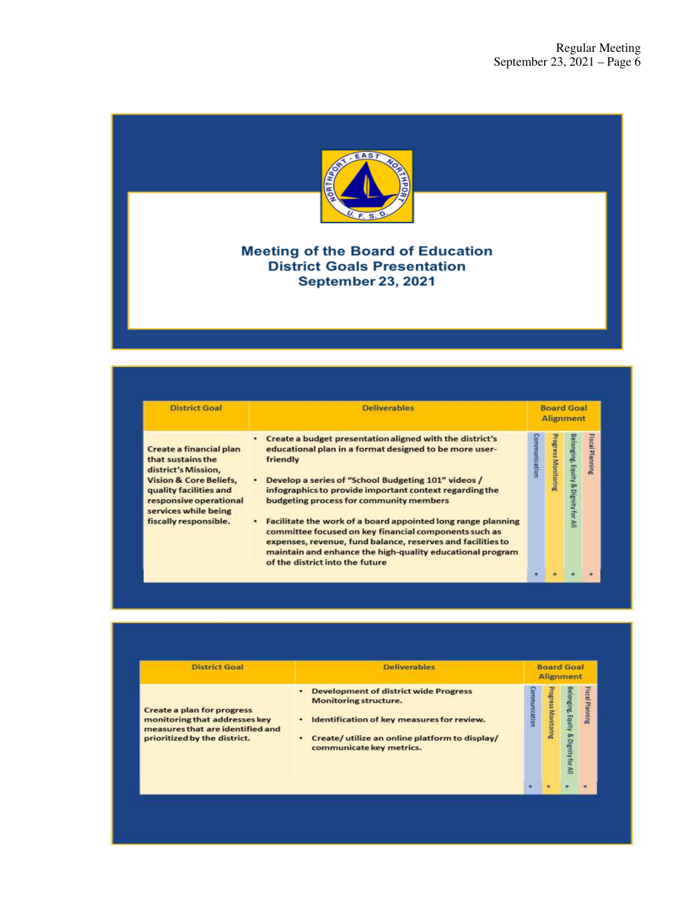

# **Meeting of the Board of Education<br>District Goals Presentation September 23, 2021**

| <b>District Goal</b>                                                                                                                                                                                          | <b>Deliverables</b>                                                                                                                                                                                                                                                                                                                                                                                                                                                                                                                                                                           |              | <b>Board Goal</b><br><b>Alignment</b> |                                    |                        |  |
|---------------------------------------------------------------------------------------------------------------------------------------------------------------------------------------------------------------|-----------------------------------------------------------------------------------------------------------------------------------------------------------------------------------------------------------------------------------------------------------------------------------------------------------------------------------------------------------------------------------------------------------------------------------------------------------------------------------------------------------------------------------------------------------------------------------------------|--------------|---------------------------------------|------------------------------------|------------------------|--|
| Create a financial plan<br>that sustains the<br>district's Mission,<br><b>Vision &amp; Core Beliefs,</b><br>quality facilities and<br>responsive operational<br>services while being<br>fiscally responsible. | Create a budget presentation aligned with the district's<br>educational plan in a format designed to be more user-<br>friendly<br>Develop a series of "School Budgeting 101" videos /<br>٠<br>infographics to provide important context regarding the<br>budgeting process for community members<br>Facilitate the work of a board appointed long range planning<br>٠<br>committee focused on key financial components such as<br>expenses, revenue, fund balance, reserves and facilities to<br>maintain and enhance the high-quality educational program<br>of the district into the future | ommunication | rogress Monitoring                    | elonging, Equity & Dignity for All | <b>Fiscal Planning</b> |  |

| <b>District Goal</b>                                                                                                                   | <b>Deliverables</b>                                                                                                                                                                               |              |                    |                                       | <b>Board Goal</b><br><b>Alignment</b> |  |
|----------------------------------------------------------------------------------------------------------------------------------------|---------------------------------------------------------------------------------------------------------------------------------------------------------------------------------------------------|--------------|--------------------|---------------------------------------|---------------------------------------|--|
| <b>Create a plan for progress</b><br>monitoring that addresses key<br>measures that are identified and<br>prioritized by the district. | <b>Development of district wide Progress</b><br>Monitoring structure.<br>Identification of key measures for review.<br>Create/ utilize an online platform to display/<br>communicate key metrics. | ommunication | rogress Monitoring | Belonging, Equity<br>& Dignity for Al | <b>Fiscal Planning</b>                |  |
|                                                                                                                                        |                                                                                                                                                                                                   |              |                    |                                       |                                       |  |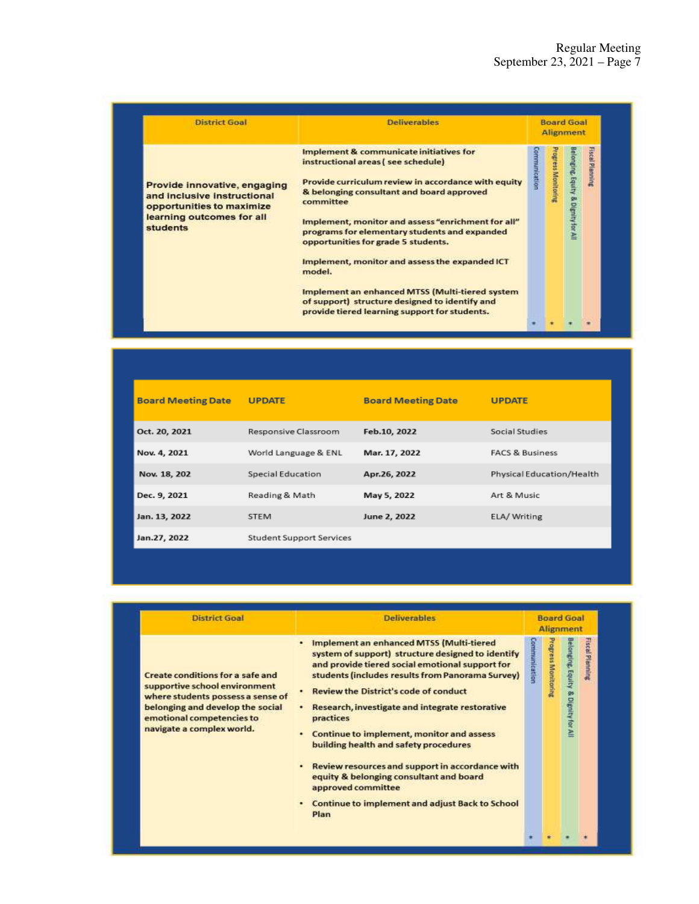| <b>District Goal</b>                                                                                                                     | <b>Deliverables</b>                                                                                                                                                                                                                                                                                                                                                                                                                                                                                                                                            |              | <b>Board Goal</b><br><b>Alignment</b> |                                               |                        |  |  |
|------------------------------------------------------------------------------------------------------------------------------------------|----------------------------------------------------------------------------------------------------------------------------------------------------------------------------------------------------------------------------------------------------------------------------------------------------------------------------------------------------------------------------------------------------------------------------------------------------------------------------------------------------------------------------------------------------------------|--------------|---------------------------------------|-----------------------------------------------|------------------------|--|--|
| Provide innovative, engaging<br>and inclusive instructional<br>opportunities to maximize<br>learning outcomes for all<br><b>students</b> | Implement & communicate initiatives for<br>instructional areas (see schedule)<br>Provide curriculum review in accordance with equity<br>& belonging consultant and board approved<br>committee<br>Implement, monitor and assess "enrichment for all"<br>programs for elementary students and expanded<br>opportunities for grade 5 students.<br>Implement, monitor and assess the expanded ICT<br>model.<br>Implement an enhanced MTSS (Multi-tiered system<br>of support) structure designed to identify and<br>provide tiered learning support for students. | ommunication | rogress Monitoring                    | <b>elonging, Equity &amp; Dignity for All</b> | <b>Fiscal Planning</b> |  |  |

| <b>Board Meeting Date</b> | <b>UPDATE</b>                   | <b>Board Meeting Date</b> | <b>UPDATE</b>              |
|---------------------------|---------------------------------|---------------------------|----------------------------|
| Oct. 20, 2021             | Responsive Classroom            | Feb.10, 2022              | Social Studies             |
| Nov. 4, 2021              | World Language & ENL            | Mar. 17, 2022             | <b>FACS &amp; Business</b> |
| Nov. 18, 202              | Special Education               | Apr.26, 2022              | Physical Education/Health  |
| Dec. 9, 2021              | Reading & Math                  | May 5, 2022               | Art & Music                |
| Jan. 13, 2022             | <b>STEM</b>                     | June 2, 2022              | ELA/Writing                |
| Jan.27, 2022              | <b>Student Support Services</b> |                           |                            |

| <b>District Goal</b>                                                                                                                                                                                        | <b>Deliverables</b>                                                                                                                                                                                                                                                                                                                                                                                                                                                                                                                                                                                      |               | <b>Board Goal</b><br><b>Alignment</b> |                                   |                 |  |
|-------------------------------------------------------------------------------------------------------------------------------------------------------------------------------------------------------------|----------------------------------------------------------------------------------------------------------------------------------------------------------------------------------------------------------------------------------------------------------------------------------------------------------------------------------------------------------------------------------------------------------------------------------------------------------------------------------------------------------------------------------------------------------------------------------------------------------|---------------|---------------------------------------|-----------------------------------|-----------------|--|
| <b>Create conditions for a safe and</b><br>supportive school environment<br>where students possess a sense of<br>belonging and develop the social<br>emotional competencies to<br>navigate a complex world. | <b>Implement an enhanced MTSS (Multi-tiered)</b><br>system of support) structure designed to identify<br>and provide tiered social emotional support for<br>students (includes results from Panorama Survey)<br><b>Review the District's code of conduct</b><br>Research, investigate and integrate restorative<br>practices<br>Continue to implement, monitor and assess<br>building health and safety procedures<br>Review resources and support in accordance with<br>equity & belonging consultant and board<br>approved committee<br><b>Continue to implement and adjust Back to School</b><br>Plan | Communication | rogress Monitoring                    | elonging, Equity & Dignity for Al | Fiscal Planning |  |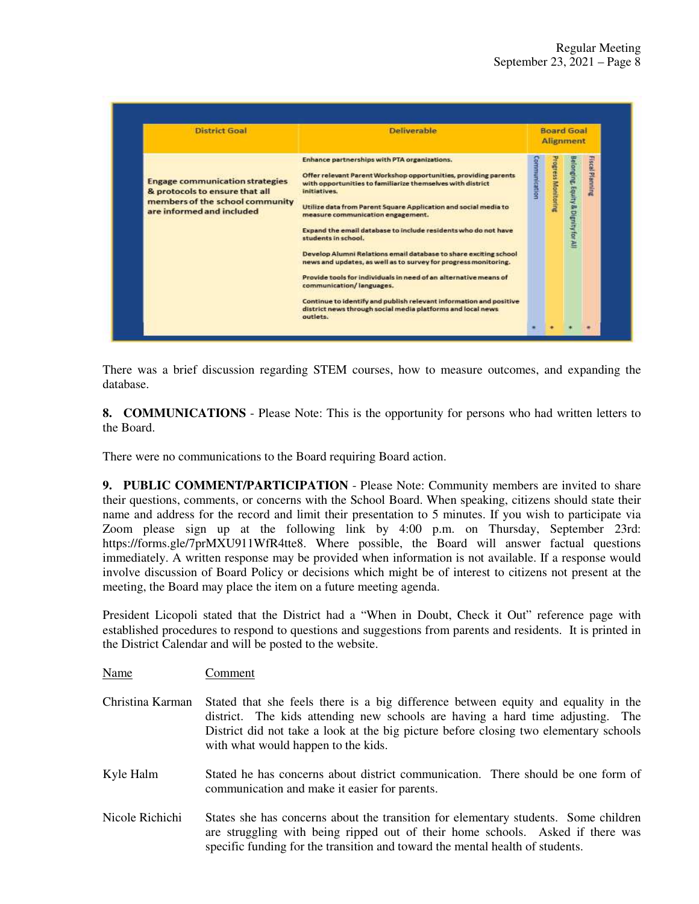| <b>District Goal</b>                                                                                                                     | <b>Deliverable</b>                                                                                                                                                                                                                                                                                                                                                                                                                                                                                                                                                                                                                                                                                                                                                                     |              | <b>Board Goal</b><br><b>Alignment</b> |                                   |                 |  |
|------------------------------------------------------------------------------------------------------------------------------------------|----------------------------------------------------------------------------------------------------------------------------------------------------------------------------------------------------------------------------------------------------------------------------------------------------------------------------------------------------------------------------------------------------------------------------------------------------------------------------------------------------------------------------------------------------------------------------------------------------------------------------------------------------------------------------------------------------------------------------------------------------------------------------------------|--------------|---------------------------------------|-----------------------------------|-----------------|--|
| <b>Engage communication strategies</b><br>& protocols to ensure that all<br>members of the school community<br>are informed and included | Enhance partnerships with PTA organizations.<br>Offer relevant Parent Workshop opportunities, providing parents<br>with opportunities to familiarize themselves with district<br>initiatives.<br>Utilize data from Parent Square Application and social media to<br>measure communication engagement.<br>Expand the email database to include residents who do not have<br>students in school.<br>Develop Alumni Relations email database to share exciting school<br>news and updates, as well as to survey for progress monitoring.<br>Provide tools for individuals in need of an alternative means of<br>communication/languages.<br>Continue to identify and publish relevant information and positive<br>district news through social media platforms and local news<br>outlets. | ommunication | rogress Monitoring                    | elonging, Equity & Dignity for Al | Fiscal Planning |  |

There was a brief discussion regarding STEM courses, how to measure outcomes, and expanding the database.

**8. COMMUNICATIONS** - Please Note: This is the opportunity for persons who had written letters to the Board.

There were no communications to the Board requiring Board action.

**9. PUBLIC COMMENT/PARTICIPATION** - Please Note: Community members are invited to share their questions, comments, or concerns with the School Board. When speaking, citizens should state their name and address for the record and limit their presentation to 5 minutes. If you wish to participate via Zoom please sign up at the following link by 4:00 p.m. on Thursday, September 23rd: https://forms.gle/7prMXU911WfR4tte8. Where possible, the Board will answer factual questions immediately. A written response may be provided when information is not available. If a response would involve discussion of Board Policy or decisions which might be of interest to citizens not present at the meeting, the Board may place the item on a future meeting agenda.

President Licopoli stated that the District had a "When in Doubt, Check it Out" reference page with established procedures to respond to questions and suggestions from parents and residents. It is printed in the District Calendar and will be posted to the website.

Name Comment

- Christina Karman Stated that she feels there is a big difference between equity and equality in the district. The kids attending new schools are having a hard time adjusting. The District did not take a look at the big picture before closing two elementary schools with what would happen to the kids.
- Kyle Halm Stated he has concerns about district communication. There should be one form of communication and make it easier for parents.
- Nicole Richichi States she has concerns about the transition for elementary students. Some children are struggling with being ripped out of their home schools. Asked if there was specific funding for the transition and toward the mental health of students.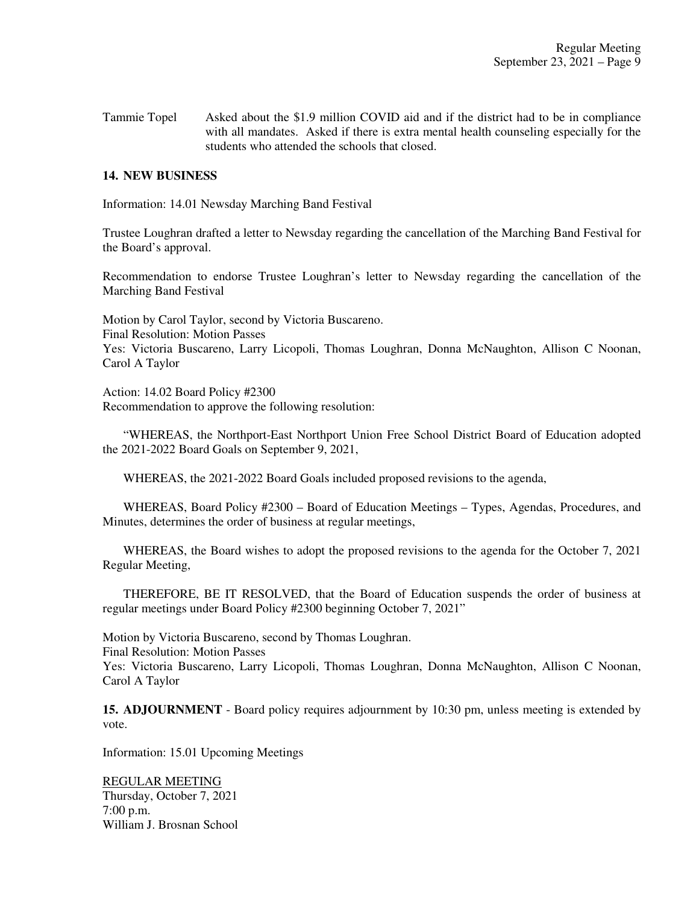Tammie Topel Asked about the \$1.9 million COVID aid and if the district had to be in compliance with all mandates. Asked if there is extra mental health counseling especially for the students who attended the schools that closed.

#### **14. NEW BUSINESS**

Information: 14.01 Newsday Marching Band Festival

Trustee Loughran drafted a letter to Newsday regarding the cancellation of the Marching Band Festival for the Board's approval.

Recommendation to endorse Trustee Loughran's letter to Newsday regarding the cancellation of the Marching Band Festival

Motion by Carol Taylor, second by Victoria Buscareno. Final Resolution: Motion Passes Yes: Victoria Buscareno, Larry Licopoli, Thomas Loughran, Donna McNaughton, Allison C Noonan, Carol A Taylor

Action: 14.02 Board Policy #2300 Recommendation to approve the following resolution:

 "WHEREAS, the Northport-East Northport Union Free School District Board of Education adopted the 2021-2022 Board Goals on September 9, 2021,

WHEREAS, the 2021-2022 Board Goals included proposed revisions to the agenda,

 WHEREAS, Board Policy #2300 – Board of Education Meetings – Types, Agendas, Procedures, and Minutes, determines the order of business at regular meetings,

 WHEREAS, the Board wishes to adopt the proposed revisions to the agenda for the October 7, 2021 Regular Meeting,

 THEREFORE, BE IT RESOLVED, that the Board of Education suspends the order of business at regular meetings under Board Policy #2300 beginning October 7, 2021"

Motion by Victoria Buscareno, second by Thomas Loughran.

Final Resolution: Motion Passes

Yes: Victoria Buscareno, Larry Licopoli, Thomas Loughran, Donna McNaughton, Allison C Noonan, Carol A Taylor

**15. ADJOURNMENT** - Board policy requires adjournment by 10:30 pm, unless meeting is extended by vote.

Information: 15.01 Upcoming Meetings

REGULAR MEETING Thursday, October 7, 2021 7:00 p.m. William J. Brosnan School